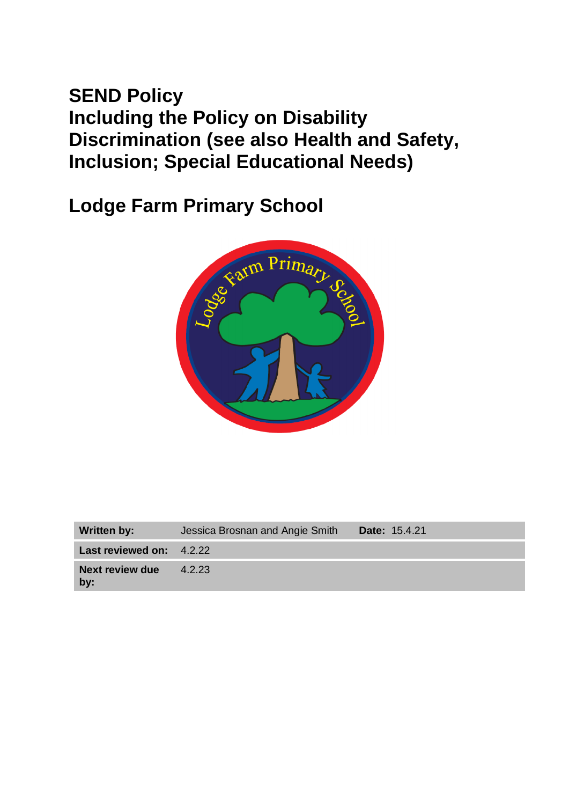# **SEND Policy Including the Policy on Disability Discrimination (see also Health and Safety, Inclusion; Special Educational Needs)**

**Lodge Farm Primary School**



| <b>Written by:</b>              | Jessica Brosnan and Angie Smith | <b>Date: 15.4.21</b> |
|---------------------------------|---------------------------------|----------------------|
| <b>Last reviewed on: 4.2.22</b> |                                 |                      |
| Next review due<br>$bv$ :       | 4.2.23                          |                      |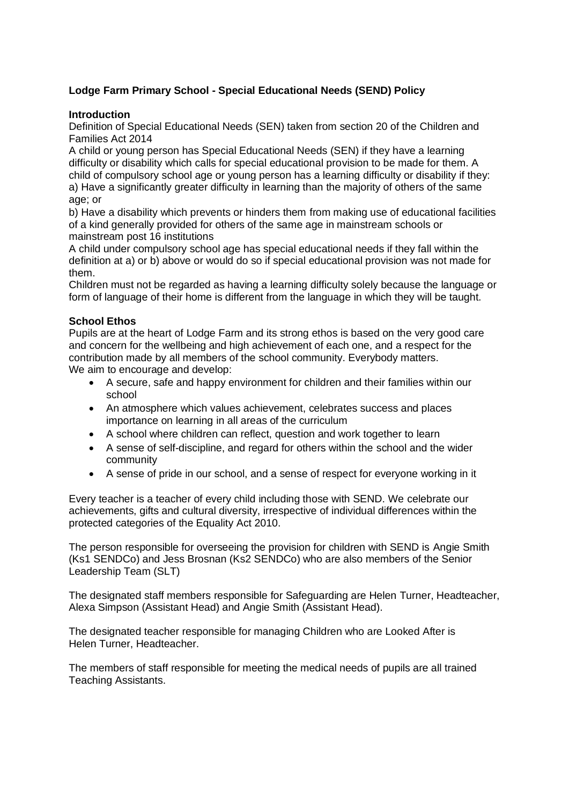# **Lodge Farm Primary School - Special Educational Needs (SEND) Policy**

## **Introduction**

Definition of Special Educational Needs (SEN) taken from section 20 of the Children and Families Act 2014

A child or young person has Special Educational Needs (SEN) if they have a learning difficulty or disability which calls for special educational provision to be made for them. A child of compulsory school age or young person has a learning difficulty or disability if they: a) Have a significantly greater difficulty in learning than the majority of others of the same age; or

b) Have a disability which prevents or hinders them from making use of educational facilities of a kind generally provided for others of the same age in mainstream schools or mainstream post 16 institutions

A child under compulsory school age has special educational needs if they fall within the definition at a) or b) above or would do so if special educational provision was not made for them.

Children must not be regarded as having a learning difficulty solely because the language or form of language of their home is different from the language in which they will be taught.

# **School Ethos**

Pupils are at the heart of Lodge Farm and its strong ethos is based on the very good care and concern for the wellbeing and high achievement of each one, and a respect for the contribution made by all members of the school community. Everybody matters. We aim to encourage and develop:

- A secure, safe and happy environment for children and their families within our school
- An atmosphere which values achievement, celebrates success and places importance on learning in all areas of the curriculum
- A school where children can reflect, question and work together to learn
- A sense of self-discipline, and regard for others within the school and the wider community
- A sense of pride in our school, and a sense of respect for everyone working in it

Every teacher is a teacher of every child including those with SEND. We celebrate our achievements, gifts and cultural diversity, irrespective of individual differences within the protected categories of the Equality Act 2010.

The person responsible for overseeing the provision for children with SEND is Angie Smith (Ks1 SENDCo) and Jess Brosnan (Ks2 SENDCo) who are also members of the Senior Leadership Team (SLT)

The designated staff members responsible for Safeguarding are Helen Turner, Headteacher, Alexa Simpson (Assistant Head) and Angie Smith (Assistant Head).

The designated teacher responsible for managing Children who are Looked After is Helen Turner, Headteacher.

The members of staff responsible for meeting the medical needs of pupils are all trained Teaching Assistants.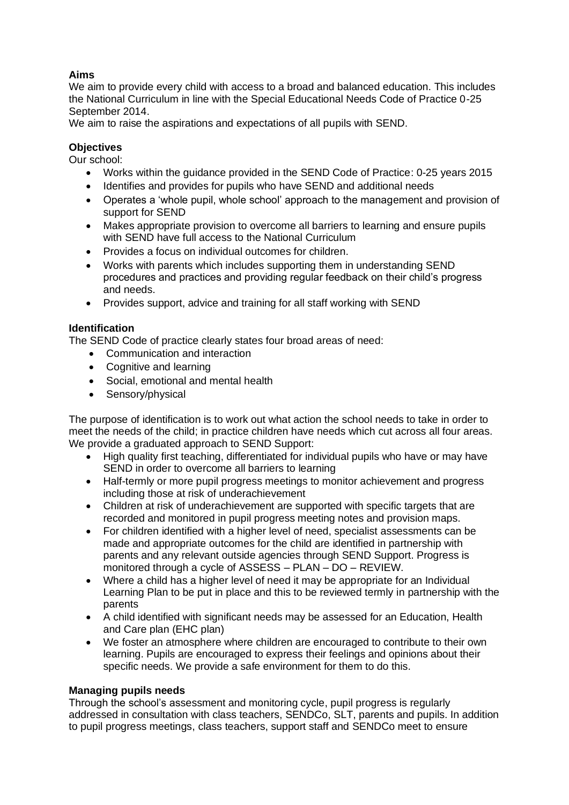# **Aims**

We aim to provide every child with access to a broad and balanced education. This includes the National Curriculum in line with the Special Educational Needs Code of Practice 0-25 September 2014.

We aim to raise the aspirations and expectations of all pupils with SEND.

# **Objectives**

Our school:

- Works within the guidance provided in the SEND Code of Practice: 0-25 years 2015
- Identifies and provides for pupils who have SEND and additional needs
- Operates a 'whole pupil, whole school' approach to the management and provision of support for SEND
- Makes appropriate provision to overcome all barriers to learning and ensure pupils with SEND have full access to the National Curriculum
- Provides a focus on individual outcomes for children.
- Works with parents which includes supporting them in understanding SEND procedures and practices and providing regular feedback on their child's progress and needs.
- Provides support, advice and training for all staff working with SEND

## **Identification**

The SEND Code of practice clearly states four broad areas of need:

- Communication and interaction
- Cognitive and learning
- Social, emotional and mental health
- Sensory/physical

The purpose of identification is to work out what action the school needs to take in order to meet the needs of the child; in practice children have needs which cut across all four areas. We provide a graduated approach to SEND Support:

- High quality first teaching, differentiated for individual pupils who have or may have SEND in order to overcome all barriers to learning
- Half-termly or more pupil progress meetings to monitor achievement and progress including those at risk of underachievement
- Children at risk of underachievement are supported with specific targets that are recorded and monitored in pupil progress meeting notes and provision maps.
- For children identified with a higher level of need, specialist assessments can be made and appropriate outcomes for the child are identified in partnership with parents and any relevant outside agencies through SEND Support. Progress is monitored through a cycle of ASSESS – PLAN – DO – REVIEW.
- Where a child has a higher level of need it may be appropriate for an Individual Learning Plan to be put in place and this to be reviewed termly in partnership with the parents
- A child identified with significant needs may be assessed for an Education, Health and Care plan (EHC plan)
- We foster an atmosphere where children are encouraged to contribute to their own learning. Pupils are encouraged to express their feelings and opinions about their specific needs. We provide a safe environment for them to do this.

## **Managing pupils needs**

Through the school's assessment and monitoring cycle, pupil progress is regularly addressed in consultation with class teachers, SENDCo, SLT, parents and pupils. In addition to pupil progress meetings, class teachers, support staff and SENDCo meet to ensure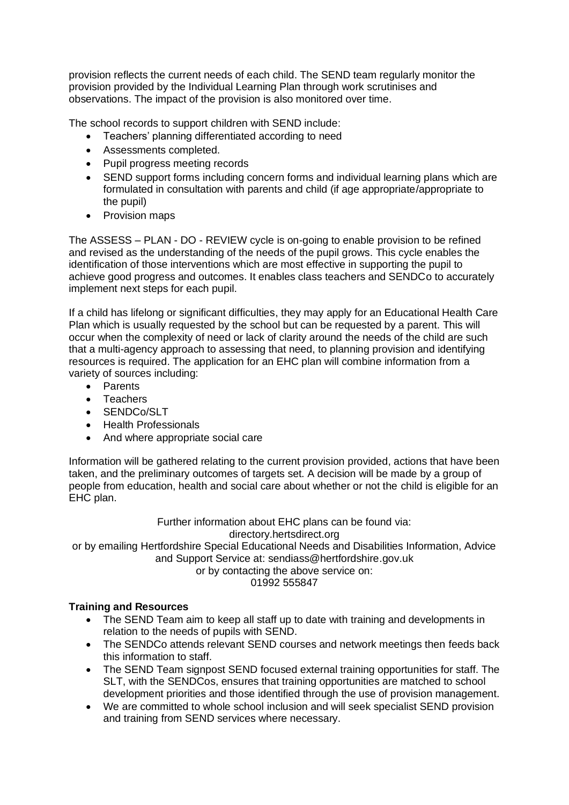provision reflects the current needs of each child. The SEND team regularly monitor the provision provided by the Individual Learning Plan through work scrutinises and observations. The impact of the provision is also monitored over time.

The school records to support children with SEND include:

- Teachers' planning differentiated according to need
- Assessments completed.
- Pupil progress meeting records
- SEND support forms including concern forms and individual learning plans which are formulated in consultation with parents and child (if age appropriate/appropriate to the pupil)
- Provision maps

The ASSESS – PLAN - DO - REVIEW cycle is on-going to enable provision to be refined and revised as the understanding of the needs of the pupil grows. This cycle enables the identification of those interventions which are most effective in supporting the pupil to achieve good progress and outcomes. It enables class teachers and SENDCo to accurately implement next steps for each pupil.

If a child has lifelong or significant difficulties, they may apply for an Educational Health Care Plan which is usually requested by the school but can be requested by a parent. This will occur when the complexity of need or lack of clarity around the needs of the child are such that a multi-agency approach to assessing that need, to planning provision and identifying resources is required. The application for an EHC plan will combine information from a variety of sources including:

- Parents
- Teachers
- SENDCo/SLT
- Health Professionals
- And where appropriate social care

Information will be gathered relating to the current provision provided, actions that have been taken, and the preliminary outcomes of targets set. A decision will be made by a group of people from education, health and social care about whether or not the child is eligible for an EHC plan.

> Further information about EHC plans can be found via: directory.hertsdirect.org

or by emailing Hertfordshire Special Educational Needs and Disabilities Information, Advice and Support Service at: sendiass@hertfordshire.gov.uk

or by contacting the above service on:

01992 555847

## **Training and Resources**

- The SEND Team aim to keep all staff up to date with training and developments in relation to the needs of pupils with SEND.
- The SENDCo attends relevant SEND courses and network meetings then feeds back this information to staff.
- The SEND Team signpost SEND focused external training opportunities for staff. The SLT, with the SENDCos, ensures that training opportunities are matched to school development priorities and those identified through the use of provision management.
- We are committed to whole school inclusion and will seek specialist SEND provision and training from SEND services where necessary.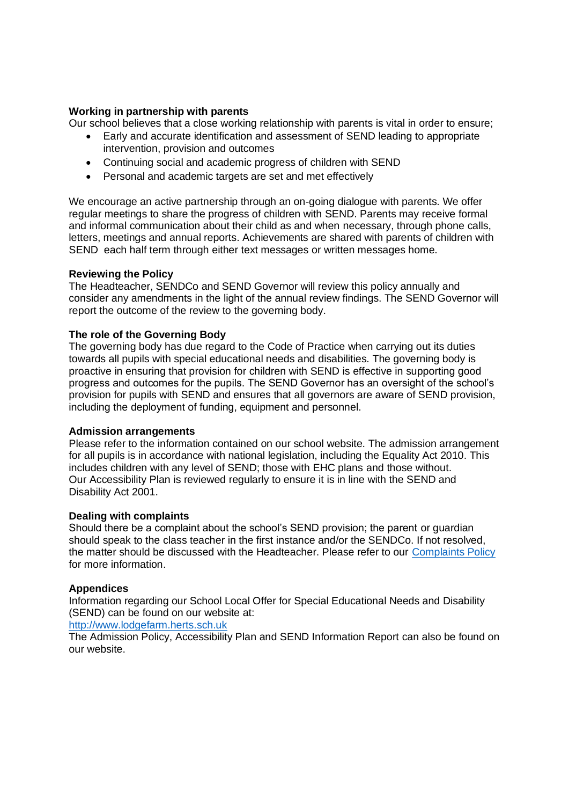#### **Working in partnership with parents**

Our school believes that a close working relationship with parents is vital in order to ensure;

- Early and accurate identification and assessment of SEND leading to appropriate intervention, provision and outcomes
- Continuing social and academic progress of children with SEND
- Personal and academic targets are set and met effectively

We encourage an active partnership through an on-going dialogue with parents. We offer regular meetings to share the progress of children with SEND. Parents may receive formal and informal communication about their child as and when necessary, through phone calls, letters, meetings and annual reports. Achievements are shared with parents of children with SEND each half term through either text messages or written messages home.

#### **Reviewing the Policy**

The Headteacher, SENDCo and SEND Governor will review this policy annually and consider any amendments in the light of the annual review findings. The SEND Governor will report the outcome of the review to the governing body.

#### **The role of the Governing Body**

The governing body has due regard to the Code of Practice when carrying out its duties towards all pupils with special educational needs and disabilities. The governing body is proactive in ensuring that provision for children with SEND is effective in supporting good progress and outcomes for the pupils. The SEND Governor has an oversight of the school's provision for pupils with SEND and ensures that all governors are aware of SEND provision, including the deployment of funding, equipment and personnel.

#### **Admission arrangements**

Please refer to the information contained on our school website. The admission arrangement for all pupils is in accordance with national legislation, including the Equality Act 2010. This includes children with any level of SEND; those with EHC plans and those without. Our Accessibility Plan is reviewed regularly to ensure it is in line with the SEND and Disability Act 2001.

#### **Dealing with complaints**

Should there be a complaint about the school's SEND provision; the parent or guardian should speak to the class teacher in the first instance and/or the SENDCo. If not resolved, the matter should be discussed with the Headteacher. Please refer to our [Complaints Policy](http://lodgefarm.herts.sch.uk/download/complaints-procedure-march-2021/) for more information.

#### **Appendices**

Information regarding our School Local Offer for Special Educational Needs and Disability (SEND) can be found on our website at:

[http://www.lodgefarm.herts.sch.uk](http://www.lodgefarm.herts.sch.uk/)

The Admission Policy, Accessibility Plan and SEND Information Report can also be found on our website.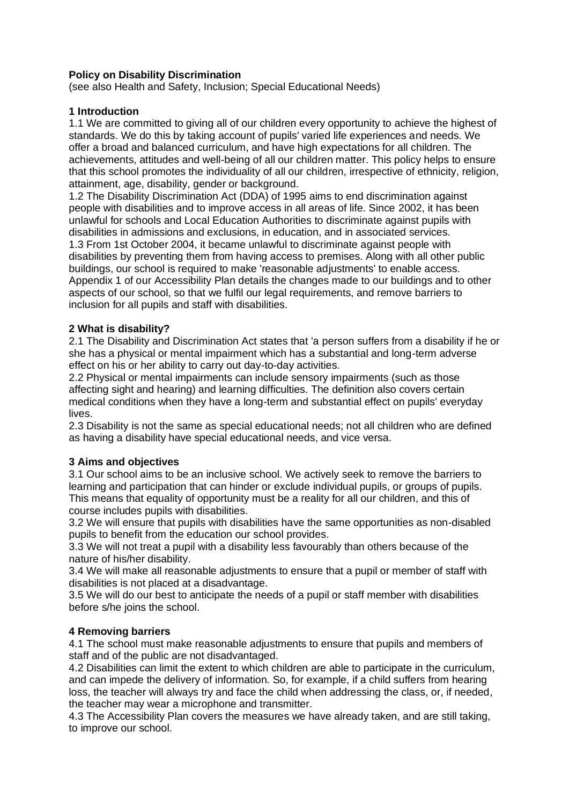## **Policy on Disability Discrimination**

(see also Health and Safety, Inclusion; Special Educational Needs)

## **1 Introduction**

1.1 We are committed to giving all of our children every opportunity to achieve the highest of standards. We do this by taking account of pupils' varied life experiences and needs. We offer a broad and balanced curriculum, and have high expectations for all children. The achievements, attitudes and well-being of all our children matter. This policy helps to ensure that this school promotes the individuality of all our children, irrespective of ethnicity, religion, attainment, age, disability, gender or background.

1.2 The Disability Discrimination Act (DDA) of 1995 aims to end discrimination against people with disabilities and to improve access in all areas of life. Since 2002, it has been unlawful for schools and Local Education Authorities to discriminate against pupils with disabilities in admissions and exclusions, in education, and in associated services. 1.3 From 1st October 2004, it became unlawful to discriminate against people with disabilities by preventing them from having access to premises. Along with all other public buildings, our school is required to make 'reasonable adjustments' to enable access. Appendix 1 of our Accessibility Plan details the changes made to our buildings and to other aspects of our school, so that we fulfil our legal requirements, and remove barriers to inclusion for all pupils and staff with disabilities.

# **2 What is disability?**

2.1 The Disability and Discrimination Act states that 'a person suffers from a disability if he or she has a physical or mental impairment which has a substantial and long-term adverse effect on his or her ability to carry out day-to-day activities.

2.2 Physical or mental impairments can include sensory impairments (such as those affecting sight and hearing) and learning difficulties. The definition also covers certain medical conditions when they have a long-term and substantial effect on pupils' everyday lives.

2.3 Disability is not the same as special educational needs; not all children who are defined as having a disability have special educational needs, and vice versa.

## **3 Aims and objectives**

3.1 Our school aims to be an inclusive school. We actively seek to remove the barriers to learning and participation that can hinder or exclude individual pupils, or groups of pupils. This means that equality of opportunity must be a reality for all our children, and this of course includes pupils with disabilities.

3.2 We will ensure that pupils with disabilities have the same opportunities as non-disabled pupils to benefit from the education our school provides.

3.3 We will not treat a pupil with a disability less favourably than others because of the nature of his/her disability.

3.4 We will make all reasonable adjustments to ensure that a pupil or member of staff with disabilities is not placed at a disadvantage.

3.5 We will do our best to anticipate the needs of a pupil or staff member with disabilities before s/he joins the school.

## **4 Removing barriers**

4.1 The school must make reasonable adjustments to ensure that pupils and members of staff and of the public are not disadvantaged.

4.2 Disabilities can limit the extent to which children are able to participate in the curriculum, and can impede the delivery of information. So, for example, if a child suffers from hearing loss, the teacher will always try and face the child when addressing the class, or, if needed, the teacher may wear a microphone and transmitter.

4.3 The Accessibility Plan covers the measures we have already taken, and are still taking, to improve our school.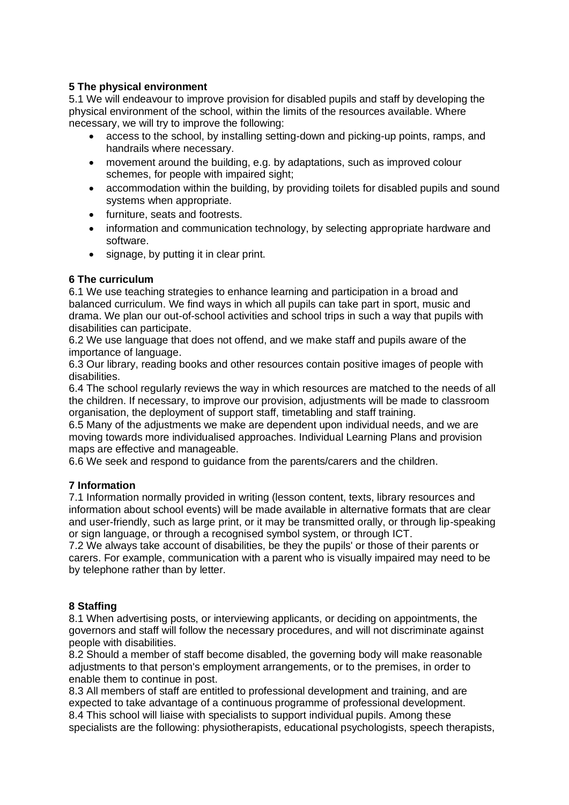# **5 The physical environment**

5.1 We will endeavour to improve provision for disabled pupils and staff by developing the physical environment of the school, within the limits of the resources available. Where necessary, we will try to improve the following:

- access to the school, by installing setting-down and picking-up points, ramps, and handrails where necessary.
- movement around the building, e.g. by adaptations, such as improved colour schemes, for people with impaired sight;
- accommodation within the building, by providing toilets for disabled pupils and sound systems when appropriate.
- furniture, seats and footrests.
- information and communication technology, by selecting appropriate hardware and software.
- signage, by putting it in clear print.

# **6 The curriculum**

6.1 We use teaching strategies to enhance learning and participation in a broad and balanced curriculum. We find ways in which all pupils can take part in sport, music and drama. We plan our out-of-school activities and school trips in such a way that pupils with disabilities can participate.

6.2 We use language that does not offend, and we make staff and pupils aware of the importance of language.

6.3 Our library, reading books and other resources contain positive images of people with disabilities.

6.4 The school regularly reviews the way in which resources are matched to the needs of all the children. If necessary, to improve our provision, adjustments will be made to classroom organisation, the deployment of support staff, timetabling and staff training.

6.5 Many of the adjustments we make are dependent upon individual needs, and we are moving towards more individualised approaches. Individual Learning Plans and provision maps are effective and manageable.

6.6 We seek and respond to guidance from the parents/carers and the children.

# **7 Information**

7.1 Information normally provided in writing (lesson content, texts, library resources and information about school events) will be made available in alternative formats that are clear and user-friendly, such as large print, or it may be transmitted orally, or through lip-speaking or sign language, or through a recognised symbol system, or through ICT.

7.2 We always take account of disabilities, be they the pupils' or those of their parents or carers. For example, communication with a parent who is visually impaired may need to be by telephone rather than by letter.

## **8 Staffing**

8.1 When advertising posts, or interviewing applicants, or deciding on appointments, the governors and staff will follow the necessary procedures, and will not discriminate against people with disabilities.

8.2 Should a member of staff become disabled, the governing body will make reasonable adjustments to that person's employment arrangements, or to the premises, in order to enable them to continue in post.

8.3 All members of staff are entitled to professional development and training, and are expected to take advantage of a continuous programme of professional development. 8.4 This school will liaise with specialists to support individual pupils. Among these specialists are the following: physiotherapists, educational psychologists, speech therapists,